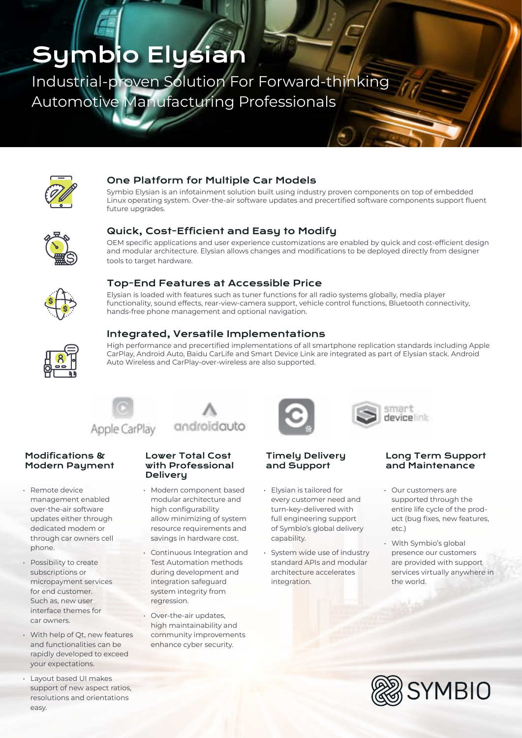# Symbio Elysian

Industrial-proven Solution For Forward-thinking Automotive Manufacturing Professionals



## One Platform for Multiple Car Models

Symbio Elysian is an infotainment solution built using industry proven components on top of embedded Linux operating system. Over-the-air software updates and precertified software components support fluent future upgrades.



## Quick, Cost-Efficient and Easy to Modify

OEM specific applications and user experience customizations are enabled by quick and cost-efficient design and modular architecture. Elysian allows changes and modifications to be deployed directly from designer tools to target hardware.



## Top-End Features at Accessible Price

Elysian is loaded with features such as tuner functions for all radio systems globally, media player functionality, sound effects, rear-view-camera support, vehicle control functions, Bluetooth connectivity, hands-free phone management and optional navigation.



### Integrated, Versatile Implementations

High performance and precertified implementations of all smartphone replication standards including Apple CarPlay, Android Auto, Baidu CarLife and Smart Device Link are integrated as part of Elysian stack. Android Auto Wireless and CarPlay-over-wireless are also supported.



#### Modifications & Modern Payment

- Remote device management enabled over-the-air software updates either through dedicated modem or through car owners cell phone.
- Possibility to create subscriptions or micropayment services for end customer. Such as, new user interface themes for car owners.
- With help of Qt, new features and functionalities can be rapidly developed to exceed your expectations.
- Layout based UI makes support of new aspect ratios, resolutions and orientations easy.

#### Lower Total Cost with Professional **Delivery**

androidauto

- Modern component based modular architecture and high configurability allow minimizing of system resource requirements and savings in hardware cost.
- Continuous Integration and Test Automation methods during development and integration safeguard system integrity from regression.
- Over-the-air updates, high maintainability and community improvements enhance cyber security.



#### Timely Delivery and Support

- Elysian is tailored for every customer need and turn-key-delivered with full engineering support of Symbio's global delivery capability.
- System wide use of industry standard APIs and modular architecture accelerates integration.

#### Long Term Support and Maintenance

smart devicelink

- Our customers are supported through the entire life cycle of the product (bug fixes, new features, etc.)
- With Symbio's global presence our customers are provided with support services virtually anywhere in the world.